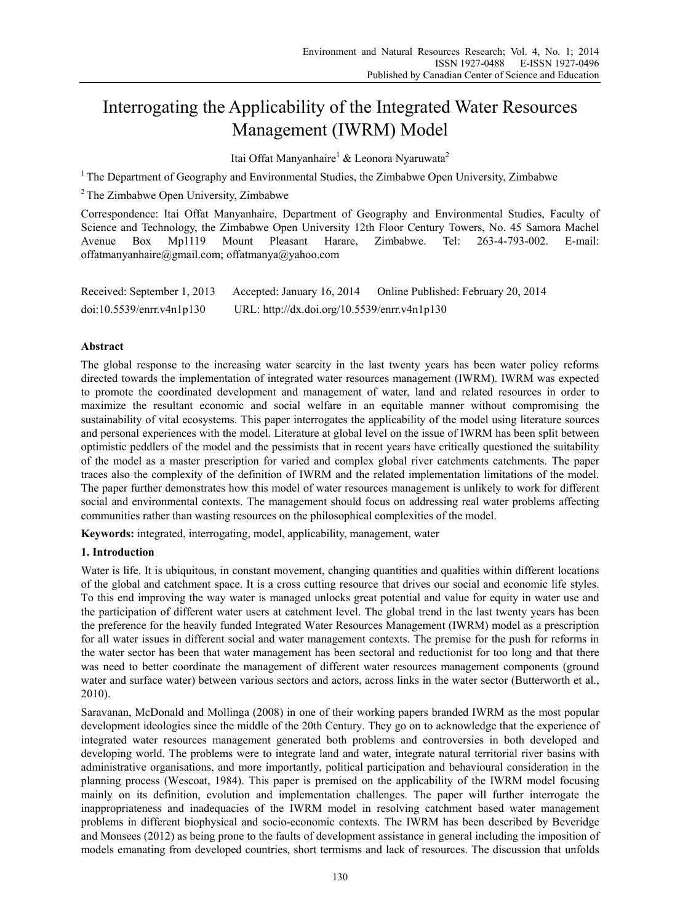# Interrogating the Applicability of the Integrated Water Resources Management (IWRM) Model

Itai Offat Manyanhaire<sup>1</sup> & Leonora Nyaruwata<sup>2</sup>

<sup>1</sup> The Department of Geography and Environmental Studies, the Zimbabwe Open University, Zimbabwe

2 The Zimbabwe Open University, Zimbabwe

Correspondence: Itai Offat Manyanhaire, Department of Geography and Environmental Studies, Faculty of Science and Technology, the Zimbabwe Open University 12th Floor Century Towers, No. 45 Samora Machel Avenue Box Mp1119 Mount Pleasant Harare, Zimbabwe. Tel: 263-4-793-002. E-mail: offatmanyanhaire@gmail.com; offatmanya@yahoo.com

| Received: September 1, 2013 | Accepted: January 16, 2014                   | Online Published: February 20, 2014 |
|-----------------------------|----------------------------------------------|-------------------------------------|
| doi:10.5539/enrr.v4n1p130   | URL: http://dx.doi.org/10.5539/enrr.v4n1p130 |                                     |

# **Abstract**

The global response to the increasing water scarcity in the last twenty years has been water policy reforms directed towards the implementation of integrated water resources management (IWRM). IWRM was expected to promote the coordinated development and management of water, land and related resources in order to maximize the resultant economic and social welfare in an equitable manner without compromising the sustainability of vital ecosystems. This paper interrogates the applicability of the model using literature sources and personal experiences with the model. Literature at global level on the issue of IWRM has been split between optimistic peddlers of the model and the pessimists that in recent years have critically questioned the suitability of the model as a master prescription for varied and complex global river catchments catchments. The paper traces also the complexity of the definition of IWRM and the related implementation limitations of the model. The paper further demonstrates how this model of water resources management is unlikely to work for different social and environmental contexts. The management should focus on addressing real water problems affecting communities rather than wasting resources on the philosophical complexities of the model.

**Keywords:** integrated, interrogating, model, applicability, management, water

# **1. Introduction**

Water is life. It is ubiquitous, in constant movement, changing quantities and qualities within different locations of the global and catchment space. It is a cross cutting resource that drives our social and economic life styles. To this end improving the way water is managed unlocks great potential and value for equity in water use and the participation of different water users at catchment level. The global trend in the last twenty years has been the preference for the heavily funded Integrated Water Resources Management (IWRM) model as a prescription for all water issues in different social and water management contexts. The premise for the push for reforms in the water sector has been that water management has been sectoral and reductionist for too long and that there was need to better coordinate the management of different water resources management components (ground water and surface water) between various sectors and actors, across links in the water sector (Butterworth et al., 2010).

Saravanan, McDonald and Mollinga (2008) in one of their working papers branded IWRM as the most popular development ideologies since the middle of the 20th Century. They go on to acknowledge that the experience of integrated water resources management generated both problems and controversies in both developed and developing world. The problems were to integrate land and water, integrate natural territorial river basins with administrative organisations, and more importantly, political participation and behavioural consideration in the planning process (Wescoat, 1984). This paper is premised on the applicability of the IWRM model focusing mainly on its definition, evolution and implementation challenges. The paper will further interrogate the inappropriateness and inadequacies of the IWRM model in resolving catchment based water management problems in different biophysical and socio-economic contexts. The IWRM has been described by Beveridge and Monsees (2012) as being prone to the faults of development assistance in general including the imposition of models emanating from developed countries, short termisms and lack of resources. The discussion that unfolds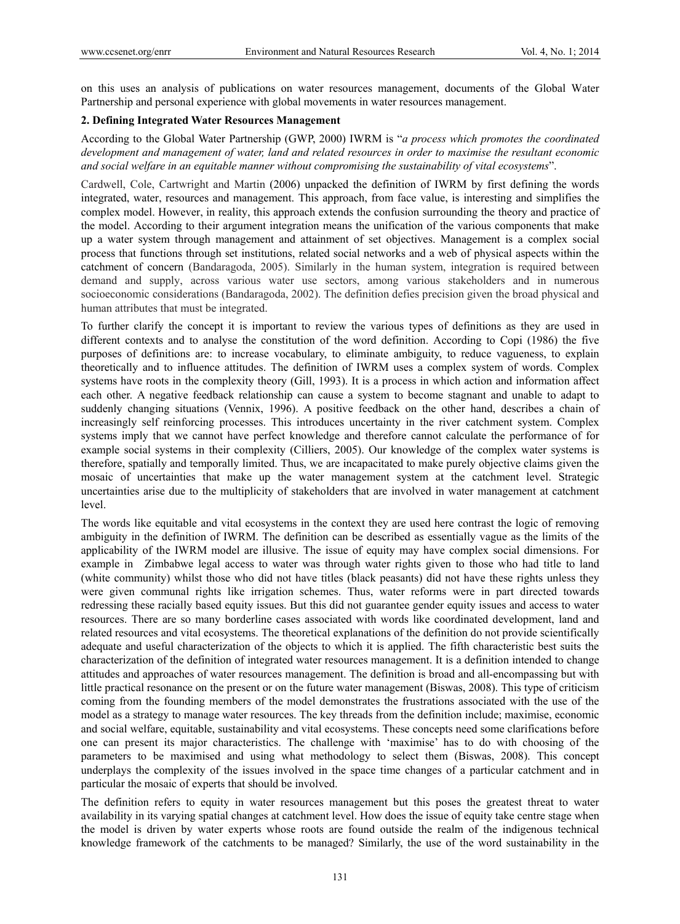on this uses an analysis of publications on water resources management, documents of the Global Water Partnership and personal experience with global movements in water resources management.

## **2. Defining Integrated Water Resources Management**

According to the Global Water Partnership (GWP, 2000) IWRM is "*a process which promotes the coordinated development and management of water, land and related resources in order to maximise the resultant economic and social welfare in an equitable manner without compromising the sustainability of vital ecosystems*".

Cardwell, Cole, Cartwright and Martin (2006) unpacked the definition of IWRM by first defining the words integrated, water, resources and management. This approach, from face value, is interesting and simplifies the complex model. However, in reality, this approach extends the confusion surrounding the theory and practice of the model. According to their argument integration means the unification of the various components that make up a water system through management and attainment of set objectives. Management is a complex social process that functions through set institutions, related social networks and a web of physical aspects within the catchment of concern (Bandaragoda, 2005). Similarly in the human system, integration is required between demand and supply, across various water use sectors, among various stakeholders and in numerous socioeconomic considerations (Bandaragoda, 2002). The definition defies precision given the broad physical and human attributes that must be integrated.

To further clarify the concept it is important to review the various types of definitions as they are used in different contexts and to analyse the constitution of the word definition. According to Copi (1986) the five purposes of definitions are: to increase vocabulary, to eliminate ambiguity, to reduce vagueness, to explain theoretically and to influence attitudes. The definition of IWRM uses a complex system of words. Complex systems have roots in the complexity theory (Gill, 1993). It is a process in which action and information affect each other. A negative feedback relationship can cause a system to become stagnant and unable to adapt to suddenly changing situations (Vennix, 1996). A positive feedback on the other hand, describes a chain of increasingly self reinforcing processes. This introduces uncertainty in the river catchment system. Complex systems imply that we cannot have perfect knowledge and therefore cannot calculate the performance of for example social systems in their complexity (Cilliers, 2005). Our knowledge of the complex water systems is therefore, spatially and temporally limited. Thus, we are incapacitated to make purely objective claims given the mosaic of uncertainties that make up the water management system at the catchment level. Strategic uncertainties arise due to the multiplicity of stakeholders that are involved in water management at catchment level.

The words like equitable and vital ecosystems in the context they are used here contrast the logic of removing ambiguity in the definition of IWRM. The definition can be described as essentially vague as the limits of the applicability of the IWRM model are illusive. The issue of equity may have complex social dimensions. For example in Zimbabwe legal access to water was through water rights given to those who had title to land (white community) whilst those who did not have titles (black peasants) did not have these rights unless they were given communal rights like irrigation schemes. Thus, water reforms were in part directed towards redressing these racially based equity issues. But this did not guarantee gender equity issues and access to water resources. There are so many borderline cases associated with words like coordinated development, land and related resources and vital ecosystems. The theoretical explanations of the definition do not provide scientifically adequate and useful characterization of the objects to which it is applied. The fifth characteristic best suits the characterization of the definition of integrated water resources management. It is a definition intended to change attitudes and approaches of water resources management. The definition is broad and all-encompassing but with little practical resonance on the present or on the future water management (Biswas, 2008). This type of criticism coming from the founding members of the model demonstrates the frustrations associated with the use of the model as a strategy to manage water resources. The key threads from the definition include; maximise, economic and social welfare, equitable, sustainability and vital ecosystems. These concepts need some clarifications before one can present its major characteristics. The challenge with 'maximise' has to do with choosing of the parameters to be maximised and using what methodology to select them (Biswas, 2008). This concept underplays the complexity of the issues involved in the space time changes of a particular catchment and in particular the mosaic of experts that should be involved.

The definition refers to equity in water resources management but this poses the greatest threat to water availability in its varying spatial changes at catchment level. How does the issue of equity take centre stage when the model is driven by water experts whose roots are found outside the realm of the indigenous technical knowledge framework of the catchments to be managed? Similarly, the use of the word sustainability in the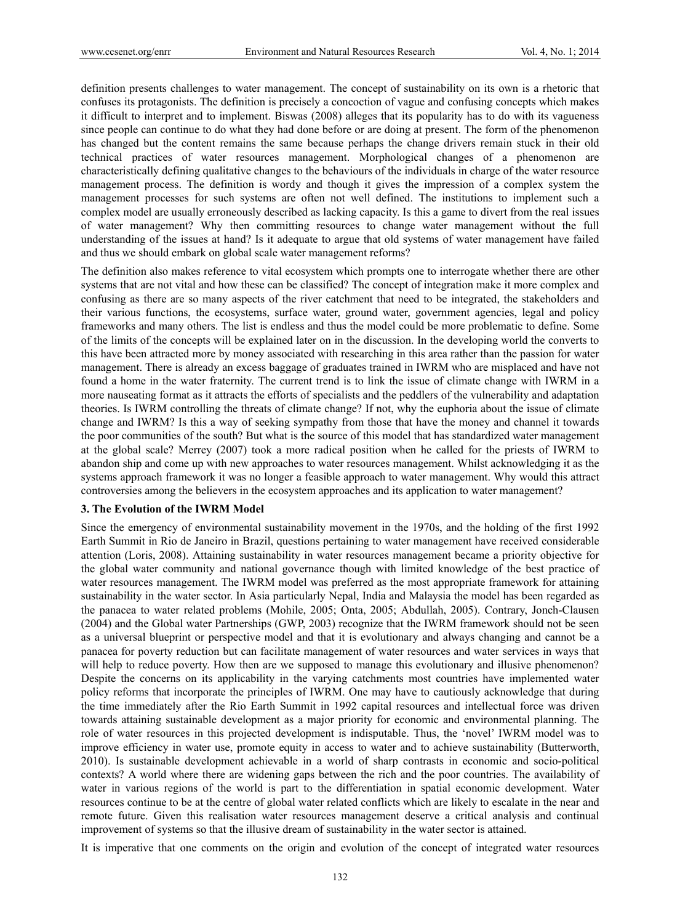definition presents challenges to water management. The concept of sustainability on its own is a rhetoric that confuses its protagonists. The definition is precisely a concoction of vague and confusing concepts which makes it difficult to interpret and to implement. Biswas (2008) alleges that its popularity has to do with its vagueness since people can continue to do what they had done before or are doing at present. The form of the phenomenon has changed but the content remains the same because perhaps the change drivers remain stuck in their old technical practices of water resources management. Morphological changes of a phenomenon are characteristically defining qualitative changes to the behaviours of the individuals in charge of the water resource management process. The definition is wordy and though it gives the impression of a complex system the management processes for such systems are often not well defined. The institutions to implement such a complex model are usually erroneously described as lacking capacity. Is this a game to divert from the real issues of water management? Why then committing resources to change water management without the full understanding of the issues at hand? Is it adequate to argue that old systems of water management have failed and thus we should embark on global scale water management reforms?

The definition also makes reference to vital ecosystem which prompts one to interrogate whether there are other systems that are not vital and how these can be classified? The concept of integration make it more complex and confusing as there are so many aspects of the river catchment that need to be integrated, the stakeholders and their various functions, the ecosystems, surface water, ground water, government agencies, legal and policy frameworks and many others. The list is endless and thus the model could be more problematic to define. Some of the limits of the concepts will be explained later on in the discussion. In the developing world the converts to this have been attracted more by money associated with researching in this area rather than the passion for water management. There is already an excess baggage of graduates trained in IWRM who are misplaced and have not found a home in the water fraternity. The current trend is to link the issue of climate change with IWRM in a more nauseating format as it attracts the efforts of specialists and the peddlers of the vulnerability and adaptation theories. Is IWRM controlling the threats of climate change? If not, why the euphoria about the issue of climate change and IWRM? Is this a way of seeking sympathy from those that have the money and channel it towards the poor communities of the south? But what is the source of this model that has standardized water management at the global scale? Merrey (2007) took a more radical position when he called for the priests of IWRM to abandon ship and come up with new approaches to water resources management. Whilst acknowledging it as the systems approach framework it was no longer a feasible approach to water management. Why would this attract controversies among the believers in the ecosystem approaches and its application to water management?

#### **3. The Evolution of the IWRM Model**

Since the emergency of environmental sustainability movement in the 1970s, and the holding of the first 1992 Earth Summit in Rio de Janeiro in Brazil, questions pertaining to water management have received considerable attention (Loris, 2008). Attaining sustainability in water resources management became a priority objective for the global water community and national governance though with limited knowledge of the best practice of water resources management. The IWRM model was preferred as the most appropriate framework for attaining sustainability in the water sector. In Asia particularly Nepal, India and Malaysia the model has been regarded as the panacea to water related problems (Mohile, 2005; Onta, 2005; Abdullah, 2005). Contrary, Jonch-Clausen (2004) and the Global water Partnerships (GWP, 2003) recognize that the IWRM framework should not be seen as a universal blueprint or perspective model and that it is evolutionary and always changing and cannot be a panacea for poverty reduction but can facilitate management of water resources and water services in ways that will help to reduce poverty. How then are we supposed to manage this evolutionary and illusive phenomenon? Despite the concerns on its applicability in the varying catchments most countries have implemented water policy reforms that incorporate the principles of IWRM. One may have to cautiously acknowledge that during the time immediately after the Rio Earth Summit in 1992 capital resources and intellectual force was driven towards attaining sustainable development as a major priority for economic and environmental planning. The role of water resources in this projected development is indisputable. Thus, the 'novel' IWRM model was to improve efficiency in water use, promote equity in access to water and to achieve sustainability (Butterworth, 2010). Is sustainable development achievable in a world of sharp contrasts in economic and socio-political contexts? A world where there are widening gaps between the rich and the poor countries. The availability of water in various regions of the world is part to the differentiation in spatial economic development. Water resources continue to be at the centre of global water related conflicts which are likely to escalate in the near and remote future. Given this realisation water resources management deserve a critical analysis and continual improvement of systems so that the illusive dream of sustainability in the water sector is attained.

It is imperative that one comments on the origin and evolution of the concept of integrated water resources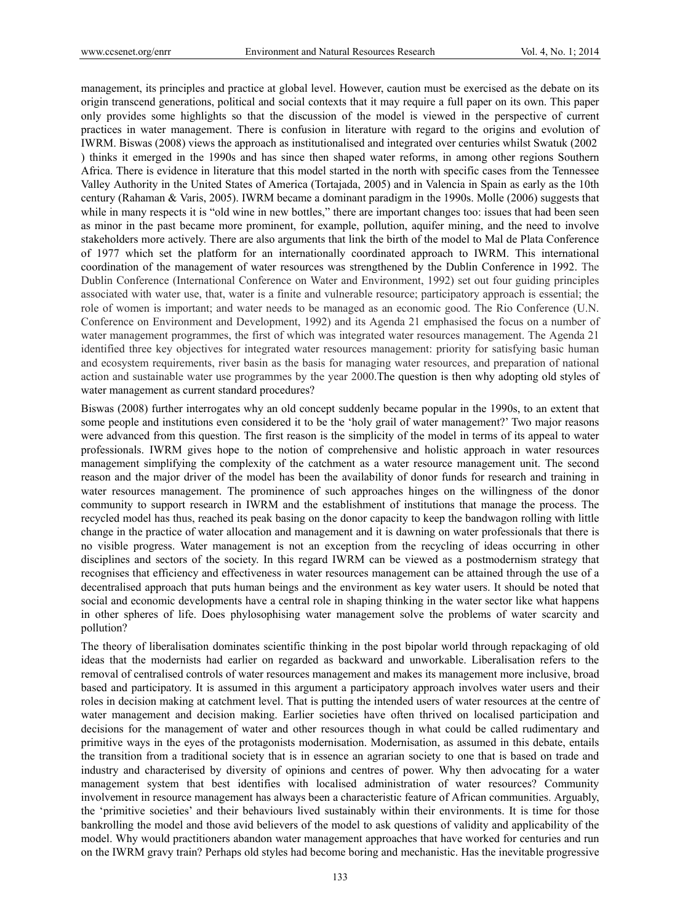management, its principles and practice at global level. However, caution must be exercised as the debate on its origin transcend generations, political and social contexts that it may require a full paper on its own. This paper only provides some highlights so that the discussion of the model is viewed in the perspective of current practices in water management. There is confusion in literature with regard to the origins and evolution of IWRM. Biswas (2008) views the approach as institutionalised and integrated over centuries whilst Swatuk (2002 ) thinks it emerged in the 1990s and has since then shaped water reforms, in among other regions Southern Africa. There is evidence in literature that this model started in the north with specific cases from the Tennessee Valley Authority in the United States of America (Tortajada, 2005) and in Valencia in Spain as early as the 10th century (Rahaman & Varis, 2005). IWRM became a dominant paradigm in the 1990s. Molle (2006) suggests that while in many respects it is "old wine in new bottles," there are important changes too: issues that had been seen as minor in the past became more prominent, for example, pollution, aquifer mining, and the need to involve stakeholders more actively. There are also arguments that link the birth of the model to Mal de Plata Conference of 1977 which set the platform for an internationally coordinated approach to IWRM. This international coordination of the management of water resources was strengthened by the Dublin Conference in 1992. The Dublin Conference (International Conference on Water and Environment, 1992) set out four guiding principles associated with water use, that, water is a finite and vulnerable resource; participatory approach is essential; the role of women is important; and water needs to be managed as an economic good. The Rio Conference (U.N. Conference on Environment and Development, 1992) and its Agenda 21 emphasised the focus on a number of water management programmes, the first of which was integrated water resources management. The Agenda 21 identified three key objectives for integrated water resources management: priority for satisfying basic human and ecosystem requirements, river basin as the basis for managing water resources, and preparation of national action and sustainable water use programmes by the year 2000.The question is then why adopting old styles of water management as current standard procedures?

Biswas (2008) further interrogates why an old concept suddenly became popular in the 1990s, to an extent that some people and institutions even considered it to be the 'holy grail of water management?' Two major reasons were advanced from this question. The first reason is the simplicity of the model in terms of its appeal to water professionals. IWRM gives hope to the notion of comprehensive and holistic approach in water resources management simplifying the complexity of the catchment as a water resource management unit. The second reason and the major driver of the model has been the availability of donor funds for research and training in water resources management. The prominence of such approaches hinges on the willingness of the donor community to support research in IWRM and the establishment of institutions that manage the process. The recycled model has thus, reached its peak basing on the donor capacity to keep the bandwagon rolling with little change in the practice of water allocation and management and it is dawning on water professionals that there is no visible progress. Water management is not an exception from the recycling of ideas occurring in other disciplines and sectors of the society. In this regard IWRM can be viewed as a postmodernism strategy that recognises that efficiency and effectiveness in water resources management can be attained through the use of a decentralised approach that puts human beings and the environment as key water users. It should be noted that social and economic developments have a central role in shaping thinking in the water sector like what happens in other spheres of life. Does phylosophising water management solve the problems of water scarcity and pollution?

The theory of liberalisation dominates scientific thinking in the post bipolar world through repackaging of old ideas that the modernists had earlier on regarded as backward and unworkable. Liberalisation refers to the removal of centralised controls of water resources management and makes its management more inclusive, broad based and participatory. It is assumed in this argument a participatory approach involves water users and their roles in decision making at catchment level. That is putting the intended users of water resources at the centre of water management and decision making. Earlier societies have often thrived on localised participation and decisions for the management of water and other resources though in what could be called rudimentary and primitive ways in the eyes of the protagonists modernisation. Modernisation, as assumed in this debate, entails the transition from a traditional society that is in essence an agrarian society to one that is based on trade and industry and characterised by diversity of opinions and centres of power. Why then advocating for a water management system that best identifies with localised administration of water resources? Community involvement in resource management has always been a characteristic feature of African communities. Arguably, the 'primitive societies' and their behaviours lived sustainably within their environments. It is time for those bankrolling the model and those avid believers of the model to ask questions of validity and applicability of the model. Why would practitioners abandon water management approaches that have worked for centuries and run on the IWRM gravy train? Perhaps old styles had become boring and mechanistic. Has the inevitable progressive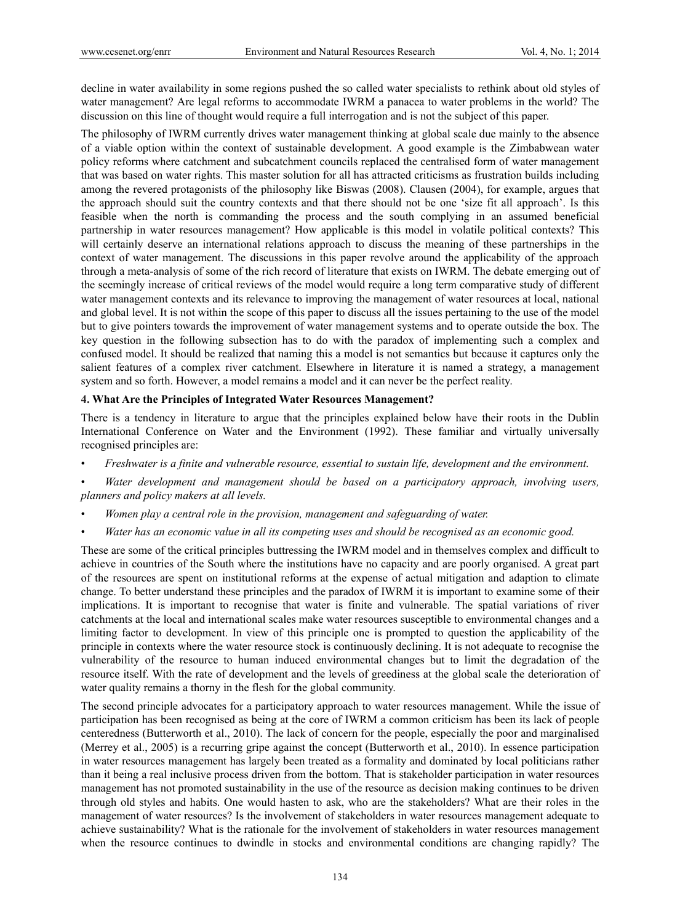decline in water availability in some regions pushed the so called water specialists to rethink about old styles of water management? Are legal reforms to accommodate IWRM a panacea to water problems in the world? The discussion on this line of thought would require a full interrogation and is not the subject of this paper.

The philosophy of IWRM currently drives water management thinking at global scale due mainly to the absence of a viable option within the context of sustainable development. A good example is the Zimbabwean water policy reforms where catchment and subcatchment councils replaced the centralised form of water management that was based on water rights. This master solution for all has attracted criticisms as frustration builds including among the revered protagonists of the philosophy like Biswas (2008). Clausen (2004), for example, argues that the approach should suit the country contexts and that there should not be one 'size fit all approach'. Is this feasible when the north is commanding the process and the south complying in an assumed beneficial partnership in water resources management? How applicable is this model in volatile political contexts? This will certainly deserve an international relations approach to discuss the meaning of these partnerships in the context of water management. The discussions in this paper revolve around the applicability of the approach through a meta-analysis of some of the rich record of literature that exists on IWRM. The debate emerging out of the seemingly increase of critical reviews of the model would require a long term comparative study of different water management contexts and its relevance to improving the management of water resources at local, national and global level. It is not within the scope of this paper to discuss all the issues pertaining to the use of the model but to give pointers towards the improvement of water management systems and to operate outside the box. The key question in the following subsection has to do with the paradox of implementing such a complex and confused model. It should be realized that naming this a model is not semantics but because it captures only the salient features of a complex river catchment. Elsewhere in literature it is named a strategy, a management system and so forth. However, a model remains a model and it can never be the perfect reality.

### **4. What Are the Principles of Integrated Water Resources Management?**

There is a tendency in literature to argue that the principles explained below have their roots in the Dublin International Conference on Water and the Environment (1992). These familiar and virtually universally recognised principles are:

• *Freshwater is a finite and vulnerable resource, essential to sustain life, development and the environment.* 

• *Water development and management should be based on a participatory approach, involving users, planners and policy makers at all levels.* 

- *Women play a central role in the provision, management and safeguarding of water.*
- *Water has an economic value in all its competing uses and should be recognised as an economic good.*

These are some of the critical principles buttressing the IWRM model and in themselves complex and difficult to achieve in countries of the South where the institutions have no capacity and are poorly organised. A great part of the resources are spent on institutional reforms at the expense of actual mitigation and adaption to climate change. To better understand these principles and the paradox of IWRM it is important to examine some of their implications. It is important to recognise that water is finite and vulnerable. The spatial variations of river catchments at the local and international scales make water resources susceptible to environmental changes and a limiting factor to development. In view of this principle one is prompted to question the applicability of the principle in contexts where the water resource stock is continuously declining. It is not adequate to recognise the vulnerability of the resource to human induced environmental changes but to limit the degradation of the resource itself. With the rate of development and the levels of greediness at the global scale the deterioration of water quality remains a thorny in the flesh for the global community.

The second principle advocates for a participatory approach to water resources management. While the issue of participation has been recognised as being at the core of IWRM a common criticism has been its lack of people centeredness (Butterworth et al., 2010). The lack of concern for the people, especially the poor and marginalised (Merrey et al., 2005) is a recurring gripe against the concept (Butterworth et al., 2010). In essence participation in water resources management has largely been treated as a formality and dominated by local politicians rather than it being a real inclusive process driven from the bottom. That is stakeholder participation in water resources management has not promoted sustainability in the use of the resource as decision making continues to be driven through old styles and habits. One would hasten to ask, who are the stakeholders? What are their roles in the management of water resources? Is the involvement of stakeholders in water resources management adequate to achieve sustainability? What is the rationale for the involvement of stakeholders in water resources management when the resource continues to dwindle in stocks and environmental conditions are changing rapidly? The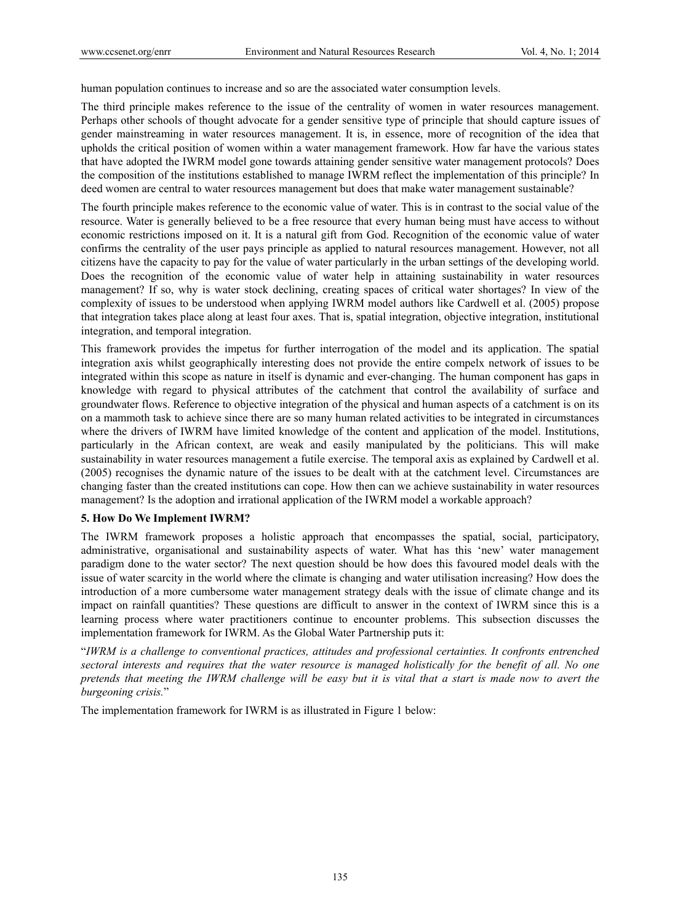human population continues to increase and so are the associated water consumption levels.

The third principle makes reference to the issue of the centrality of women in water resources management. Perhaps other schools of thought advocate for a gender sensitive type of principle that should capture issues of gender mainstreaming in water resources management. It is, in essence, more of recognition of the idea that upholds the critical position of women within a water management framework. How far have the various states that have adopted the IWRM model gone towards attaining gender sensitive water management protocols? Does the composition of the institutions established to manage IWRM reflect the implementation of this principle? In deed women are central to water resources management but does that make water management sustainable?

The fourth principle makes reference to the economic value of water. This is in contrast to the social value of the resource. Water is generally believed to be a free resource that every human being must have access to without economic restrictions imposed on it. It is a natural gift from God. Recognition of the economic value of water confirms the centrality of the user pays principle as applied to natural resources management. However, not all citizens have the capacity to pay for the value of water particularly in the urban settings of the developing world. Does the recognition of the economic value of water help in attaining sustainability in water resources management? If so, why is water stock declining, creating spaces of critical water shortages? In view of the complexity of issues to be understood when applying IWRM model authors like Cardwell et al. (2005) propose that integration takes place along at least four axes. That is, spatial integration, objective integration, institutional integration, and temporal integration.

This framework provides the impetus for further interrogation of the model and its application. The spatial integration axis whilst geographically interesting does not provide the entire compelx network of issues to be integrated within this scope as nature in itself is dynamic and ever-changing. The human component has gaps in knowledge with regard to physical attributes of the catchment that control the availability of surface and groundwater flows. Reference to objective integration of the physical and human aspects of a catchment is on its on a mammoth task to achieve since there are so many human related activities to be integrated in circumstances where the drivers of IWRM have limited knowledge of the content and application of the model. Institutions, particularly in the African context, are weak and easily manipulated by the politicians. This will make sustainability in water resources management a futile exercise. The temporal axis as explained by Cardwell et al. (2005) recognises the dynamic nature of the issues to be dealt with at the catchment level. Circumstances are changing faster than the created institutions can cope. How then can we achieve sustainability in water resources management? Is the adoption and irrational application of the IWRM model a workable approach?

#### **5. How Do We Implement IWRM?**

The IWRM framework proposes a holistic approach that encompasses the spatial, social, participatory, administrative, organisational and sustainability aspects of water. What has this 'new' water management paradigm done to the water sector? The next question should be how does this favoured model deals with the issue of water scarcity in the world where the climate is changing and water utilisation increasing? How does the introduction of a more cumbersome water management strategy deals with the issue of climate change and its impact on rainfall quantities? These questions are difficult to answer in the context of IWRM since this is a learning process where water practitioners continue to encounter problems. This subsection discusses the implementation framework for IWRM. As the Global Water Partnership puts it:

"*IWRM is a challenge to conventional practices, attitudes and professional certainties. It confronts entrenched sectoral interests and requires that the water resource is managed holistically for the benefit of all. No one pretends that meeting the IWRM challenge will be easy but it is vital that a start is made now to avert the burgeoning crisis.*"

The implementation framework for IWRM is as illustrated in Figure 1 below: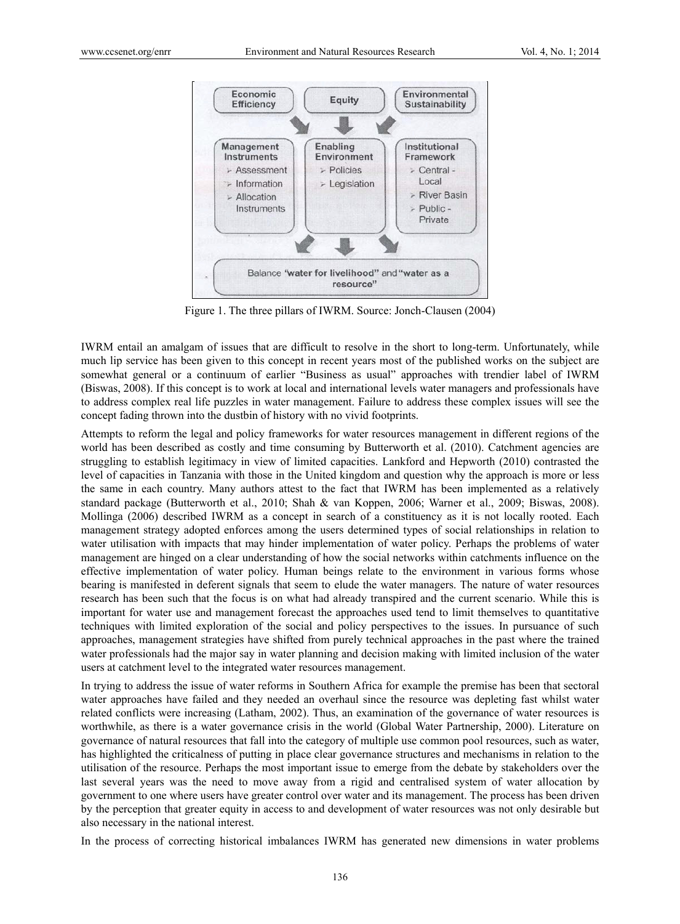

Figure 1. The three pillars of IWRM. Source: Jonch-Clausen (2004)

IWRM entail an amalgam of issues that are difficult to resolve in the short to long-term. Unfortunately, while much lip service has been given to this concept in recent years most of the published works on the subject are somewhat general or a continuum of earlier "Business as usual" approaches with trendier label of IWRM (Biswas, 2008). If this concept is to work at local and international levels water managers and professionals have to address complex real life puzzles in water management. Failure to address these complex issues will see the concept fading thrown into the dustbin of history with no vivid footprints.

Attempts to reform the legal and policy frameworks for water resources management in different regions of the world has been described as costly and time consuming by Butterworth et al. (2010). Catchment agencies are struggling to establish legitimacy in view of limited capacities. Lankford and Hepworth (2010) contrasted the level of capacities in Tanzania with those in the United kingdom and question why the approach is more or less the same in each country. Many authors attest to the fact that IWRM has been implemented as a relatively standard package (Butterworth et al., 2010; Shah & van Koppen, 2006; Warner et al., 2009; Biswas, 2008). Mollinga (2006) described IWRM as a concept in search of a constituency as it is not locally rooted. Each management strategy adopted enforces among the users determined types of social relationships in relation to water utilisation with impacts that may hinder implementation of water policy. Perhaps the problems of water management are hinged on a clear understanding of how the social networks within catchments influence on the effective implementation of water policy. Human beings relate to the environment in various forms whose bearing is manifested in deferent signals that seem to elude the water managers. The nature of water resources research has been such that the focus is on what had already transpired and the current scenario. While this is important for water use and management forecast the approaches used tend to limit themselves to quantitative techniques with limited exploration of the social and policy perspectives to the issues. In pursuance of such approaches, management strategies have shifted from purely technical approaches in the past where the trained water professionals had the major say in water planning and decision making with limited inclusion of the water users at catchment level to the integrated water resources management.

In trying to address the issue of water reforms in Southern Africa for example the premise has been that sectoral water approaches have failed and they needed an overhaul since the resource was depleting fast whilst water related conflicts were increasing (Latham, 2002). Thus, an examination of the governance of water resources is worthwhile, as there is a water governance crisis in the world (Global Water Partnership, 2000). Literature on governance of natural resources that fall into the category of multiple use common pool resources, such as water, has highlighted the criticalness of putting in place clear governance structures and mechanisms in relation to the utilisation of the resource. Perhaps the most important issue to emerge from the debate by stakeholders over the last several years was the need to move away from a rigid and centralised system of water allocation by government to one where users have greater control over water and its management. The process has been driven by the perception that greater equity in access to and development of water resources was not only desirable but also necessary in the national interest.

In the process of correcting historical imbalances IWRM has generated new dimensions in water problems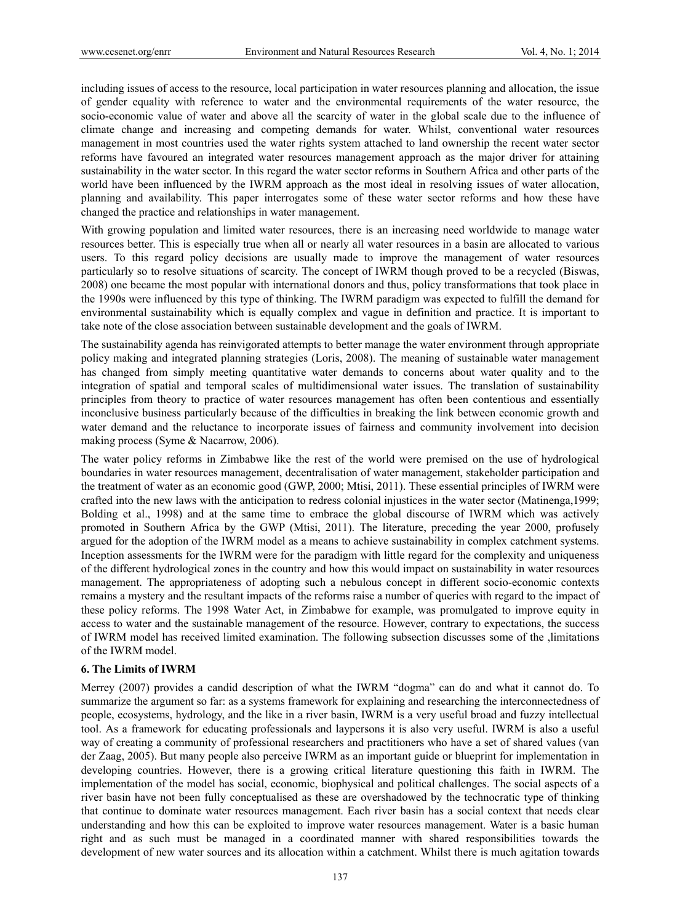including issues of access to the resource, local participation in water resources planning and allocation, the issue of gender equality with reference to water and the environmental requirements of the water resource, the socio-economic value of water and above all the scarcity of water in the global scale due to the influence of climate change and increasing and competing demands for water. Whilst, conventional water resources management in most countries used the water rights system attached to land ownership the recent water sector reforms have favoured an integrated water resources management approach as the major driver for attaining sustainability in the water sector. In this regard the water sector reforms in Southern Africa and other parts of the world have been influenced by the IWRM approach as the most ideal in resolving issues of water allocation, planning and availability. This paper interrogates some of these water sector reforms and how these have changed the practice and relationships in water management.

With growing population and limited water resources, there is an increasing need worldwide to manage water resources better. This is especially true when all or nearly all water resources in a basin are allocated to various users. To this regard policy decisions are usually made to improve the management of water resources particularly so to resolve situations of scarcity. The concept of IWRM though proved to be a recycled (Biswas, 2008) one became the most popular with international donors and thus, policy transformations that took place in the 1990s were influenced by this type of thinking. The IWRM paradigm was expected to fulfill the demand for environmental sustainability which is equally complex and vague in definition and practice. It is important to take note of the close association between sustainable development and the goals of IWRM.

The sustainability agenda has reinvigorated attempts to better manage the water environment through appropriate policy making and integrated planning strategies (Loris, 2008). The meaning of sustainable water management has changed from simply meeting quantitative water demands to concerns about water quality and to the integration of spatial and temporal scales of multidimensional water issues. The translation of sustainability principles from theory to practice of water resources management has often been contentious and essentially inconclusive business particularly because of the difficulties in breaking the link between economic growth and water demand and the reluctance to incorporate issues of fairness and community involvement into decision making process (Syme & Nacarrow, 2006).

The water policy reforms in Zimbabwe like the rest of the world were premised on the use of hydrological boundaries in water resources management, decentralisation of water management, stakeholder participation and the treatment of water as an economic good (GWP, 2000; Mtisi, 2011). These essential principles of IWRM were crafted into the new laws with the anticipation to redress colonial injustices in the water sector (Matinenga,1999; Bolding et al., 1998) and at the same time to embrace the global discourse of IWRM which was actively promoted in Southern Africa by the GWP (Mtisi, 2011). The literature, preceding the year 2000, profusely argued for the adoption of the IWRM model as a means to achieve sustainability in complex catchment systems. Inception assessments for the IWRM were for the paradigm with little regard for the complexity and uniqueness of the different hydrological zones in the country and how this would impact on sustainability in water resources management. The appropriateness of adopting such a nebulous concept in different socio-economic contexts remains a mystery and the resultant impacts of the reforms raise a number of queries with regard to the impact of these policy reforms. The 1998 Water Act, in Zimbabwe for example, was promulgated to improve equity in access to water and the sustainable management of the resource. However, contrary to expectations, the success of IWRM model has received limited examination. The following subsection discusses some of the ,limitations of the IWRM model.

#### **6. The Limits of IWRM**

Merrey (2007) provides a candid description of what the IWRM "dogma" can do and what it cannot do. To summarize the argument so far: as a systems framework for explaining and researching the interconnectedness of people, ecosystems, hydrology, and the like in a river basin, IWRM is a very useful broad and fuzzy intellectual tool. As a framework for educating professionals and laypersons it is also very useful. IWRM is also a useful way of creating a community of professional researchers and practitioners who have a set of shared values (van der Zaag, 2005). But many people also perceive IWRM as an important guide or blueprint for implementation in developing countries. However, there is a growing critical literature questioning this faith in IWRM. The implementation of the model has social, economic, biophysical and political challenges. The social aspects of a river basin have not been fully conceptualised as these are overshadowed by the technocratic type of thinking that continue to dominate water resources management. Each river basin has a social context that needs clear understanding and how this can be exploited to improve water resources management. Water is a basic human right and as such must be managed in a coordinated manner with shared responsibilities towards the development of new water sources and its allocation within a catchment. Whilst there is much agitation towards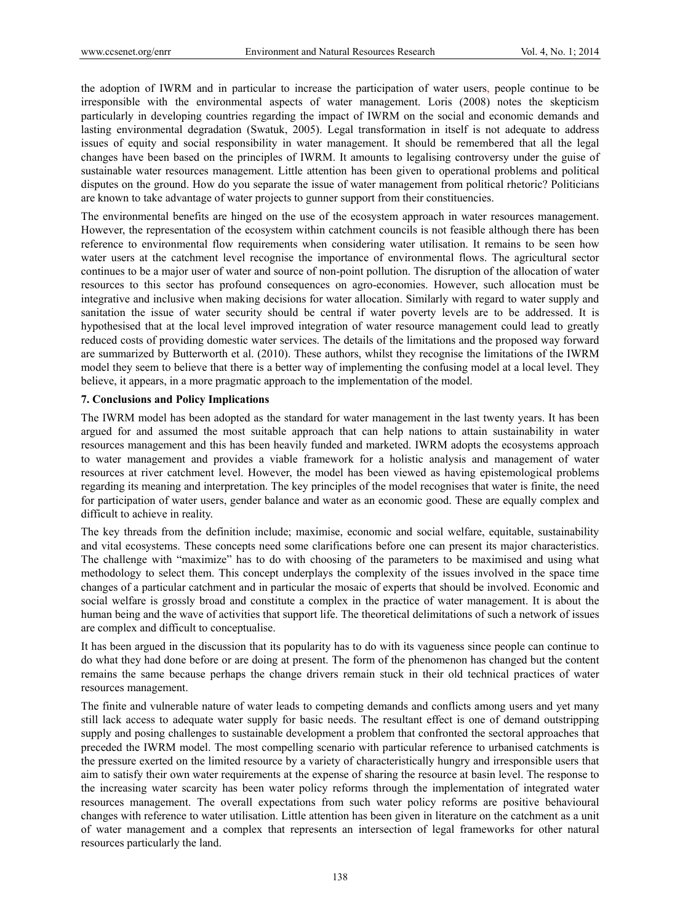the adoption of IWRM and in particular to increase the participation of water users, people continue to be irresponsible with the environmental aspects of water management. Loris (2008) notes the skepticism particularly in developing countries regarding the impact of IWRM on the social and economic demands and lasting environmental degradation (Swatuk, 2005). Legal transformation in itself is not adequate to address issues of equity and social responsibility in water management. It should be remembered that all the legal changes have been based on the principles of IWRM. It amounts to legalising controversy under the guise of sustainable water resources management. Little attention has been given to operational problems and political disputes on the ground. How do you separate the issue of water management from political rhetoric? Politicians are known to take advantage of water projects to gunner support from their constituencies.

The environmental benefits are hinged on the use of the ecosystem approach in water resources management. However, the representation of the ecosystem within catchment councils is not feasible although there has been reference to environmental flow requirements when considering water utilisation. It remains to be seen how water users at the catchment level recognise the importance of environmental flows. The agricultural sector continues to be a major user of water and source of non-point pollution. The disruption of the allocation of water resources to this sector has profound consequences on agro-economies. However, such allocation must be integrative and inclusive when making decisions for water allocation. Similarly with regard to water supply and sanitation the issue of water security should be central if water poverty levels are to be addressed. It is hypothesised that at the local level improved integration of water resource management could lead to greatly reduced costs of providing domestic water services. The details of the limitations and the proposed way forward are summarized by Butterworth et al. (2010). These authors, whilst they recognise the limitations of the IWRM model they seem to believe that there is a better way of implementing the confusing model at a local level. They believe, it appears, in a more pragmatic approach to the implementation of the model.

## **7. Conclusions and Policy Implications**

The IWRM model has been adopted as the standard for water management in the last twenty years. It has been argued for and assumed the most suitable approach that can help nations to attain sustainability in water resources management and this has been heavily funded and marketed. IWRM adopts the ecosystems approach to water management and provides a viable framework for a holistic analysis and management of water resources at river catchment level. However, the model has been viewed as having epistemological problems regarding its meaning and interpretation. The key principles of the model recognises that water is finite, the need for participation of water users, gender balance and water as an economic good. These are equally complex and difficult to achieve in reality.

The key threads from the definition include; maximise, economic and social welfare, equitable, sustainability and vital ecosystems. These concepts need some clarifications before one can present its major characteristics. The challenge with "maximize" has to do with choosing of the parameters to be maximised and using what methodology to select them. This concept underplays the complexity of the issues involved in the space time changes of a particular catchment and in particular the mosaic of experts that should be involved. Economic and social welfare is grossly broad and constitute a complex in the practice of water management. It is about the human being and the wave of activities that support life. The theoretical delimitations of such a network of issues are complex and difficult to conceptualise.

It has been argued in the discussion that its popularity has to do with its vagueness since people can continue to do what they had done before or are doing at present. The form of the phenomenon has changed but the content remains the same because perhaps the change drivers remain stuck in their old technical practices of water resources management.

The finite and vulnerable nature of water leads to competing demands and conflicts among users and yet many still lack access to adequate water supply for basic needs. The resultant effect is one of demand outstripping supply and posing challenges to sustainable development a problem that confronted the sectoral approaches that preceded the IWRM model. The most compelling scenario with particular reference to urbanised catchments is the pressure exerted on the limited resource by a variety of characteristically hungry and irresponsible users that aim to satisfy their own water requirements at the expense of sharing the resource at basin level. The response to the increasing water scarcity has been water policy reforms through the implementation of integrated water resources management. The overall expectations from such water policy reforms are positive behavioural changes with reference to water utilisation. Little attention has been given in literature on the catchment as a unit of water management and a complex that represents an intersection of legal frameworks for other natural resources particularly the land.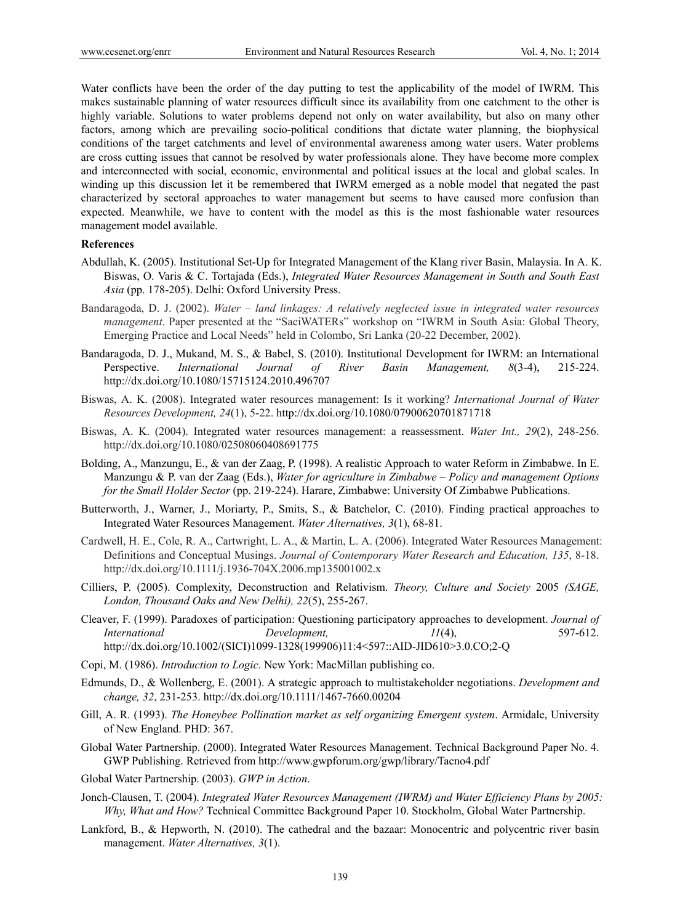Water conflicts have been the order of the day putting to test the applicability of the model of IWRM. This makes sustainable planning of water resources difficult since its availability from one catchment to the other is highly variable. Solutions to water problems depend not only on water availability, but also on many other factors, among which are prevailing socio-political conditions that dictate water planning, the biophysical conditions of the target catchments and level of environmental awareness among water users. Water problems are cross cutting issues that cannot be resolved by water professionals alone. They have become more complex and interconnected with social, economic, environmental and political issues at the local and global scales. In winding up this discussion let it be remembered that IWRM emerged as a noble model that negated the past characterized by sectoral approaches to water management but seems to have caused more confusion than expected. Meanwhile, we have to content with the model as this is the most fashionable water resources management model available.

#### **References**

- Abdullah, K. (2005). Institutional Set-Up for Integrated Management of the Klang river Basin, Malaysia. In A. K. Biswas, O. Varis & C. Tortajada (Eds.), *Integrated Water Resources Management in South and South East Asia* (pp. 178-205). Delhi: Oxford University Press.
- Bandaragoda, D. J. (2002). *Water land linkages: A relatively neglected issue in integrated water resources management*. Paper presented at the "SaciWATERs" workshop on "IWRM in South Asia: Global Theory, Emerging Practice and Local Needs" held in Colombo, Sri Lanka (20-22 December, 2002).
- Bandaragoda, D. J., Mukand, M. S., & Babel, S. (2010). Institutional Development for IWRM: an International Perspective. *International Journal of River Basin Management, 8*(3-4), 215-224. http://dx.doi.org/10.1080/15715124.2010.496707
- Biswas, A. K. (2008). Integrated water resources management: Is it working? *International Journal of Water Resources Development, 24*(1), 5-22. http://dx.doi.org/10.1080/07900620701871718
- Biswas, A. K. (2004). Integrated water resources management: a reassessment. *Water Int., 29*(2), 248-256. http://dx.doi.org/10.1080/02508060408691775
- Bolding, A., Manzungu, E., & van der Zaag, P. (1998). A realistic Approach to water Reform in Zimbabwe. In E. Manzungu & P. van der Zaag (Eds.), *Water for agriculture in Zimbabwe – Policy and management Options for the Small Holder Sector* (pp. 219-224). Harare, Zimbabwe: University Of Zimbabwe Publications.
- Butterworth, J., Warner, J., Moriarty, P., Smits, S., & Batchelor, C. (2010). Finding practical approaches to Integrated Water Resources Management. *Water Alternatives, 3*(1), 68-81.
- Cardwell, H. E., Cole, R. A., Cartwright, L. A., & Martin, L. A. (2006). Integrated Water Resources Management: Definitions and Conceptual Musings. *Journal of Contemporary Water Research and Education, 135*, 8-18. http://dx.doi.org/10.1111/j.1936-704X.2006.mp135001002.x
- Cilliers, P. (2005). Complexity, Deconstruction and Relativism. *Theory, Culture and Society* 2005 *(SAGE, London, Thousand Oaks and New Delhi), 22*(5), 255-267.
- Cleaver, F. (1999). Paradoxes of participation: Questioning participatory approaches to development. *Journal of International Development, 11*(4), 597-612. http://dx.doi.org/10.1002/(SICI)1099-1328(199906)11:4<597::AID-JID610>3.0.CO;2-Q
- Copi, M. (1986). *Introduction to Logic*. New York: MacMillan publishing co.
- Edmunds, D., & Wollenberg, E. (2001). A strategic approach to multistakeholder negotiations. *Development and change, 32*, 231-253. http://dx.doi.org/10.1111/1467-7660.00204
- Gill, A. R. (1993). *The Honeybee Pollination market as self organizing Emergent system*. Armidale, University of New England. PHD: 367.
- Global Water Partnership. (2000). Integrated Water Resources Management. Technical Background Paper No. 4. GWP Publishing. Retrieved from http://www.gwpforum.org/gwp/library/Tacno4.pdf
- Global Water Partnership. (2003). *GWP in Action*.
- Jonch-Clausen, T. (2004). *Integrated Water Resources Management (IWRM) and Water Efficiency Plans by 2005: Why, What and How?* Technical Committee Background Paper 10. Stockholm, Global Water Partnership.
- Lankford, B., & Hepworth, N. (2010). The cathedral and the bazaar: Monocentric and polycentric river basin management. *Water Alternatives, 3*(1).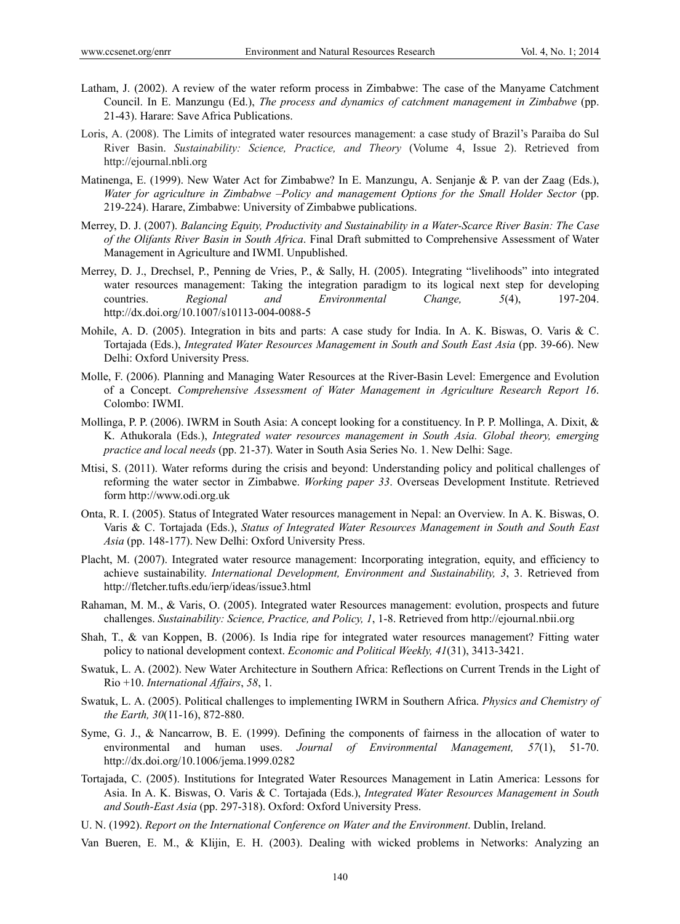- Latham, J. (2002). A review of the water reform process in Zimbabwe: The case of the Manyame Catchment Council. In E. Manzungu (Ed.), *The process and dynamics of catchment management in Zimbabwe* (pp. 21-43). Harare: Save Africa Publications.
- Loris, A. (2008). The Limits of integrated water resources management: a case study of Brazil's Paraiba do Sul River Basin. *Sustainability: Science, Practice, and Theory* (Volume 4, Issue 2). Retrieved from http://ejournal.nbli.org
- Matinenga, E. (1999). New Water Act for Zimbabwe? In E. Manzungu, A. Senjanje & P. van der Zaag (Eds.), *Water for agriculture in Zimbabwe –Policy and management Options for the Small Holder Sector* (pp. 219-224). Harare, Zimbabwe: University of Zimbabwe publications.
- Merrey, D. J. (2007). *Balancing Equity, Productivity and Sustainability in a Water-Scarce River Basin: The Case of the Olifants River Basin in South Africa*. Final Draft submitted to Comprehensive Assessment of Water Management in Agriculture and IWMI. Unpublished.
- Merrey, D. J., Drechsel, P., Penning de Vries, P., & Sally, H. (2005). Integrating "livelihoods" into integrated water resources management: Taking the integration paradigm to its logical next step for developing countries. *Regional and Environmental Change, 5*(4), 197-204. http://dx.doi.org/10.1007/s10113-004-0088-5
- Mohile, A. D. (2005). Integration in bits and parts: A case study for India. In A. K. Biswas, O. Varis & C. Tortajada (Eds.), *Integrated Water Resources Management in South and South East Asia* (pp. 39-66). New Delhi: Oxford University Press.
- Molle, F. (2006). Planning and Managing Water Resources at the River-Basin Level: Emergence and Evolution of a Concept. *Comprehensive Assessment of Water Management in Agriculture Research Report 16*. Colombo: IWMI.
- Mollinga, P. P. (2006). IWRM in South Asia: A concept looking for a constituency. In P. P. Mollinga, A. Dixit, & K. Athukorala (Eds.), *Integrated water resources management in South Asia. Global theory, emerging practice and local needs* (pp. 21-37). Water in South Asia Series No. 1. New Delhi: Sage.
- Mtisi, S. (2011). Water reforms during the crisis and beyond: Understanding policy and political challenges of reforming the water sector in Zimbabwe. *Working paper 33*. Overseas Development Institute. Retrieved form http://www.odi.org.uk
- Onta, R. I. (2005). Status of Integrated Water resources management in Nepal: an Overview. In A. K. Biswas, O. Varis & C. Tortajada (Eds.), *Status of Integrated Water Resources Management in South and South East Asia* (pp. 148-177). New Delhi: Oxford University Press.
- Placht, M. (2007). Integrated water resource management: Incorporating integration, equity, and efficiency to achieve sustainability. *International Development, Environment and Sustainability, 3*, 3. Retrieved from http://fletcher.tufts.edu/ierp/ideas/issue3.html
- Rahaman, M. M., & Varis, O. (2005). Integrated water Resources management: evolution, prospects and future challenges. *Sustainability: Science, Practice, and Policy, 1*, 1-8. Retrieved from http://ejournal.nbii.org
- Shah, T., & van Koppen, B. (2006). Is India ripe for integrated water resources management? Fitting water policy to national development context. *Economic and Political Weekly, 41*(31), 3413-3421.
- Swatuk, L. A. (2002). New Water Architecture in Southern Africa: Reflections on Current Trends in the Light of Rio +10. *International Affairs*, *58*, 1.
- Swatuk, L. A. (2005). Political challenges to implementing IWRM in Southern Africa. *Physics and Chemistry of the Earth, 30*(11-16), 872-880.
- Syme, G. J., & Nancarrow, B. E. (1999). Defining the components of fairness in the allocation of water to environmental and human uses. *Journal of Environmental Management, 57*(1), 51-70. http://dx.doi.org/10.1006/jema.1999.0282
- Tortajada, C. (2005). Institutions for Integrated Water Resources Management in Latin America: Lessons for Asia. In A. K. Biswas, O. Varis & C. Tortajada (Eds.), *Integrated Water Resources Management in South and South-East Asia* (pp. 297-318). Oxford: Oxford University Press.
- U. N. (1992). *Report on the International Conference on Water and the Environment*. Dublin, Ireland.
- Van Bueren, E. M., & Klijin, E. H. (2003). Dealing with wicked problems in Networks: Analyzing an